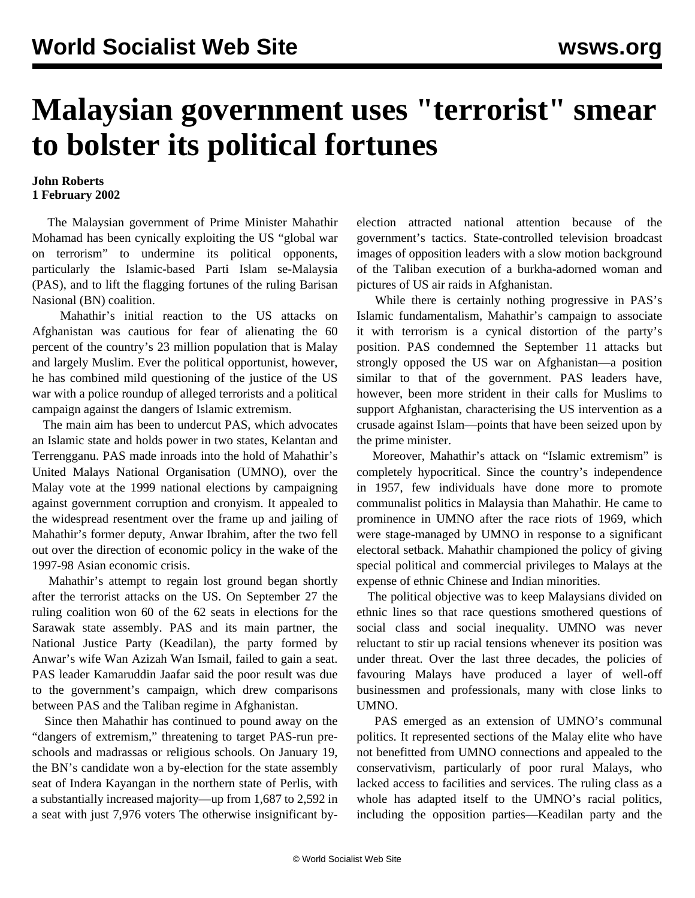## **Malaysian government uses "terrorist" smear to bolster its political fortunes**

## **John Roberts 1 February 2002**

 The Malaysian government of Prime Minister Mahathir Mohamad has been cynically exploiting the US "global war on terrorism" to undermine its political opponents, particularly the Islamic-based Parti Islam se-Malaysia (PAS), and to lift the flagging fortunes of the ruling Barisan Nasional (BN) coalition.

 Mahathir's initial reaction to the US attacks on Afghanistan was cautious for fear of alienating the 60 percent of the country's 23 million population that is Malay and largely Muslim. Ever the political opportunist, however, he has combined mild questioning of the justice of the US war with a police roundup of alleged terrorists and a political campaign against the dangers of Islamic extremism.

 The main aim has been to undercut PAS, which advocates an Islamic state and holds power in two states, Kelantan and Terrengganu. PAS made inroads into the hold of Mahathir's United Malays National Organisation (UMNO), over the Malay vote at the 1999 national elections by campaigning against government corruption and cronyism. It appealed to the widespread resentment over the frame up and jailing of Mahathir's former deputy, Anwar Ibrahim, after the two fell out over the direction of economic policy in the wake of the 1997-98 Asian economic crisis.

 Mahathir's attempt to regain lost ground began shortly after the terrorist attacks on the US. On September 27 the ruling coalition won 60 of the 62 seats in elections for the Sarawak state assembly. PAS and its main partner, the National Justice Party (Keadilan), the party formed by Anwar's wife Wan Azizah Wan Ismail, failed to gain a seat. PAS leader Kamaruddin Jaafar said the poor result was due to the government's campaign, which drew comparisons between PAS and the Taliban regime in Afghanistan.

 Since then Mahathir has continued to pound away on the "dangers of extremism," threatening to target PAS-run preschools and madrassas or religious schools. On January 19, the BN's candidate won a by-election for the state assembly seat of Indera Kayangan in the northern state of Perlis, with a substantially increased majority—up from 1,687 to 2,592 in a seat with just 7,976 voters The otherwise insignificant byelection attracted national attention because of the government's tactics. State-controlled television broadcast images of opposition leaders with a slow motion background of the Taliban execution of a burkha-adorned woman and pictures of US air raids in Afghanistan.

 While there is certainly nothing progressive in PAS's Islamic fundamentalism, Mahathir's campaign to associate it with terrorism is a cynical distortion of the party's position. PAS condemned the September 11 attacks but strongly opposed the US war on Afghanistan—a position similar to that of the government. PAS leaders have, however, been more strident in their calls for Muslims to support Afghanistan, characterising the US intervention as a crusade against Islam—points that have been seized upon by the prime minister.

 Moreover, Mahathir's attack on "Islamic extremism" is completely hypocritical. Since the country's independence in 1957, few individuals have done more to promote communalist politics in Malaysia than Mahathir. He came to prominence in UMNO after the race riots of 1969, which were stage-managed by UMNO in response to a significant electoral setback. Mahathir championed the policy of giving special political and commercial privileges to Malays at the expense of ethnic Chinese and Indian minorities.

 The political objective was to keep Malaysians divided on ethnic lines so that race questions smothered questions of social class and social inequality. UMNO was never reluctant to stir up racial tensions whenever its position was under threat. Over the last three decades, the policies of favouring Malays have produced a layer of well-off businessmen and professionals, many with close links to UMNO.

 PAS emerged as an extension of UMNO's communal politics. It represented sections of the Malay elite who have not benefitted from UMNO connections and appealed to the conservativism, particularly of poor rural Malays, who lacked access to facilities and services. The ruling class as a whole has adapted itself to the UMNO's racial politics, including the opposition parties—Keadilan party and the